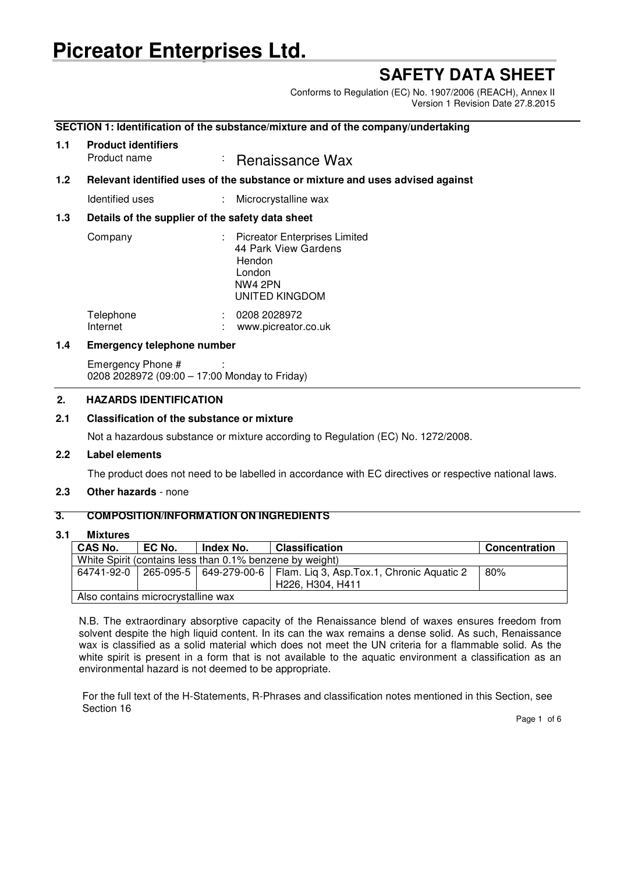# **Picreator Enterprises Ltd.**

## **SAFETY DATA SHEET**

Conforms to Regulation (EC) No. 1907/2006 (REACH), Annex II Version 1 Revision Date 27.8.2015

## **SECTION 1: Identification of the substance/mixture and of the company/undertaking**

## **1.1 Product identifiers**

Product name : Renaissance Wax

## **1.2 Relevant identified uses of the substance or mixture and uses advised against**

Identified uses : Microcrystalline wax

## **1.3 Details of the supplier of the safety data sheet**

| Company   | : Picreator Enterprises Limited<br>44 Park View Gardens<br>Hendon<br>London<br><b>NW4 2PN</b><br><b>UNITED KINGDOM</b> |
|-----------|------------------------------------------------------------------------------------------------------------------------|
| Telephone | 0208 2028972                                                                                                           |
| Internet  | www.picreator.co.uk                                                                                                    |

## **1.4 Emergency telephone number**

Emergency Phone # 0208 2028972 (09:00 – 17:00 Monday to Friday)

## **2. HAZARDS IDENTIFICATION**

## **2.1 Classification of the substance or mixture**

Not a hazardous substance or mixture according to Regulation (EC) No. 1272/2008.

## **2.2 Label elements**

The product does not need to be labelled in accordance with EC directives or respective national laws.

## **2.3 Other hazards** - none

## **3. COMPOSITION/INFORMATION ON INGREDIENTS**

## **3.1 Mixtures**

| <b>CAS No.</b>                                           | EC No. | Index No. | <b>Classification</b>                                                | Concentration |
|----------------------------------------------------------|--------|-----------|----------------------------------------------------------------------|---------------|
| White Spirit (contains less than 0.1% benzene by weight) |        |           |                                                                      |               |
| 64741-92-0                                               |        |           | 265-095-5   649-279-00-6   Flam. Lig 3, Asp.Tox.1, Chronic Aquatic 2 | 80%           |
|                                                          |        |           | H <sub>226</sub> , H <sub>304</sub> , H <sub>411</sub>               |               |
| Also contains microcrystalline wax                       |        |           |                                                                      |               |

N.B. The extraordinary absorptive capacity of the Renaissance blend of waxes ensures freedom from solvent despite the high liquid content. In its can the wax remains a dense solid. As such, Renaissance wax is classified as a solid material which does not meet the UN criteria for a flammable solid. As the white spirit is present in a form that is not available to the aquatic environment a classification as an environmental hazard is not deemed to be appropriate.

For the full text of the H-Statements, R-Phrases and classification notes mentioned in this Section, see Section 16

Page 1 of 6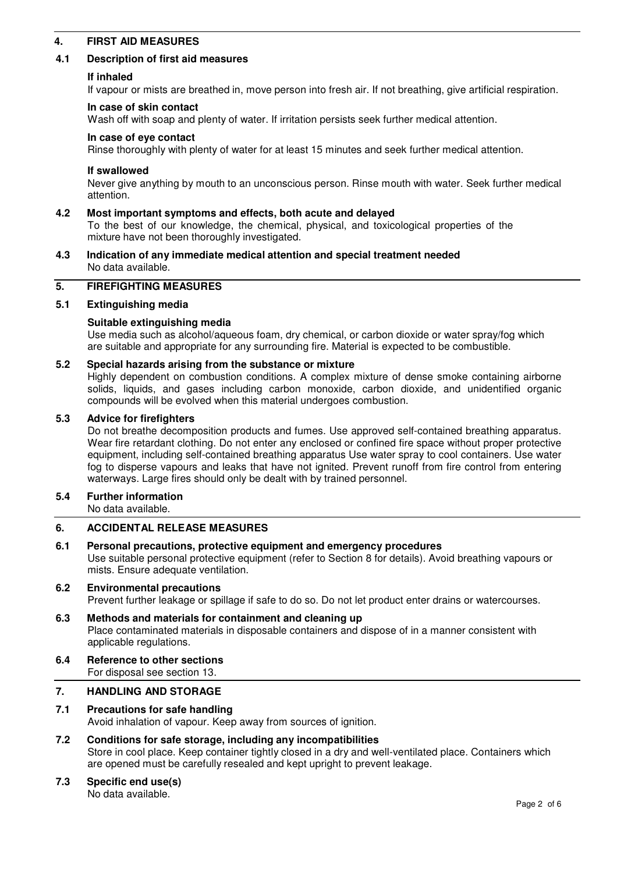## **4. FIRST AID MEASURES**

## **4.1 Description of first aid measures**

#### **If inhaled**

If vapour or mists are breathed in, move person into fresh air. If not breathing, give artificial respiration.

#### **In case of skin contact**

Wash off with soap and plenty of water. If irritation persists seek further medical attention.

#### **In case of eye contact**

Rinse thoroughly with plenty of water for at least 15 minutes and seek further medical attention.

#### **If swallowed**

Never give anything by mouth to an unconscious person. Rinse mouth with water. Seek further medical attention.

#### **4.2 Most important symptoms and effects, both acute and delayed**

To the best of our knowledge, the chemical, physical, and toxicological properties of the mixture have not been thoroughly investigated.

## **4.3 Indication of any immediate medical attention and special treatment needed** No data available.

## **5. FIREFIGHTING MEASURES**

#### **5.1 Extinguishing media**

## **Suitable extinguishing media**

Use media such as alcohol/aqueous foam, dry chemical, or carbon dioxide or water spray/fog which are suitable and appropriate for any surrounding fire. Material is expected to be combustible.

## **5.2 Special hazards arising from the substance or mixture**

Highly dependent on combustion conditions. A complex mixture of dense smoke containing airborne solids, liquids, and gases including carbon monoxide, carbon dioxide, and unidentified organic compounds will be evolved when this material undergoes combustion.

#### **5.3 Advice for firefighters**

Do not breathe decomposition products and fumes. Use approved self-contained breathing apparatus. Wear fire retardant clothing. Do not enter any enclosed or confined fire space without proper protective equipment, including self-contained breathing apparatus Use water spray to cool containers. Use water fog to disperse vapours and leaks that have not ignited. Prevent runoff from fire control from entering waterways. Large fires should only be dealt with by trained personnel.

## **5.4 Further information**

No data available.

## **6. ACCIDENTAL RELEASE MEASURES**

#### **6.1 Personal precautions, protective equipment and emergency procedures**

Use suitable personal protective equipment (refer to Section 8 for details). Avoid breathing vapours or mists. Ensure adequate ventilation.

## **6.2 Environmental precautions**

Prevent further leakage or spillage if safe to do so. Do not let product enter drains or watercourses.

**6.3 Methods and materials for containment and cleaning up** Place contaminated materials in disposable containers and dispose of in a manner consistent with applicable regulations.

## **6.4 Reference to other sections**

For disposal see section 13.

## **7. HANDLING AND STORAGE**

## **7.1 Precautions for safe handling**

Avoid inhalation of vapour. Keep away from sources of ignition.

## **7.2 Conditions for safe storage, including any incompatibilities** Store in cool place. Keep container tightly closed in a dry and well-ventilated place. Containers which are opened must be carefully resealed and kept upright to prevent leakage.

## **7.3 Specific end use(s)**

No data available.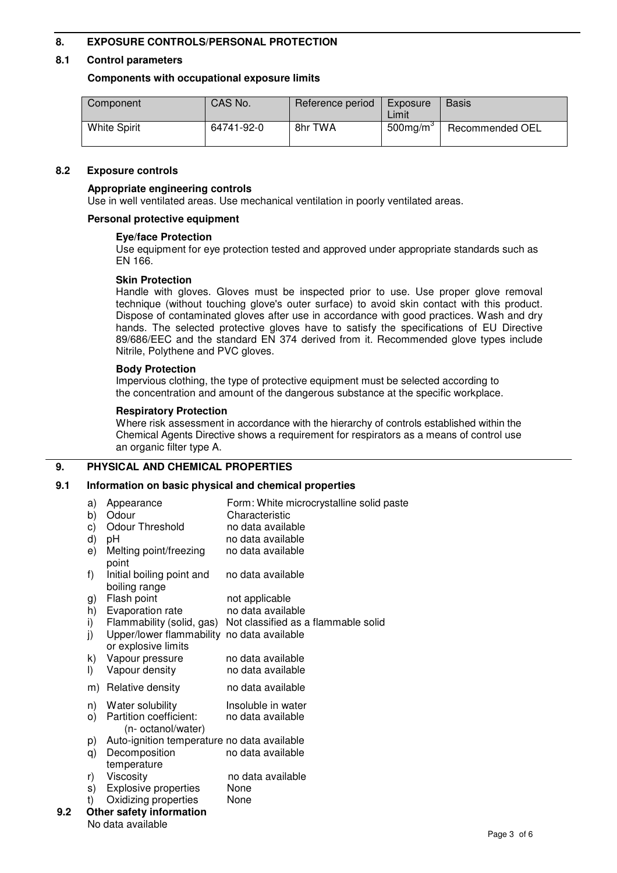## **8. EXPOSURE CONTROLS/PERSONAL PROTECTION**

## **8.1 Control parameters**

## **Components with occupational exposure limits**

| Component           | CAS No.    | Reference period | Exposure<br>Limit | <b>Basis</b>    |
|---------------------|------------|------------------|-------------------|-----------------|
| <b>White Spirit</b> | 64741-92-0 | 8hr TWA          | $500$ mg/m $3$    | Recommended OEL |

## **8.2 Exposure controls**

## **Appropriate engineering controls**

Use in well ventilated areas. Use mechanical ventilation in poorly ventilated areas.

## **Personal protective equipment**

## **Eye/face Protection**

Use equipment for eye protection tested and approved under appropriate standards such as EN 166.

## **Skin Protection**

Handle with gloves. Gloves must be inspected prior to use. Use proper glove removal technique (without touching glove's outer surface) to avoid skin contact with this product. Dispose of contaminated gloves after use in accordance with good practices. Wash and dry hands. The selected protective gloves have to satisfy the specifications of EU Directive 89/686/EEC and the standard EN 374 derived from it. Recommended glove types include Nitrile, Polythene and PVC gloves.

## **Body Protection**

Impervious clothing, the type of protective equipment must be selected according to the concentration and amount of the dangerous substance at the specific workplace.

## **Respiratory Protection**

Where risk assessment in accordance with the hierarchy of controls established within the Chemical Agents Directive shows a requirement for respirators as a means of control use an organic filter type A.

## **9. PHYSICAL AND CHEMICAL PROPERTIES**

## **9.1 Information on basic physical and chemical properties**

|     | a)<br>b) | Appearance<br>Odour                                               | Form: White microcrystalline solid paste<br>Characteristic |
|-----|----------|-------------------------------------------------------------------|------------------------------------------------------------|
|     |          | Odour Threshold                                                   | no data available                                          |
|     | c)       |                                                                   |                                                            |
|     | d)       | рH                                                                | no data available                                          |
|     | e)       | Melting point/freezing<br>point                                   | no data available                                          |
|     | f)       | Initial boiling point and<br>boiling range                        | no data available                                          |
|     | g)       | Flash point                                                       | not applicable                                             |
|     | h)       | Evaporation rate                                                  | no data available                                          |
|     | i)       | Flammability (solid, gas)                                         | Not classified as a flammable solid                        |
|     | j)       | Upper/lower flammability no data available<br>or explosive limits |                                                            |
|     | k)       | Vapour pressure                                                   | no data available                                          |
|     | $\vert$  | Vapour density                                                    | no data available                                          |
|     | m)       | Relative density                                                  | no data available                                          |
|     | n)       | Water solubility                                                  | Insoluble in water                                         |
|     | O)       | Partition coefficient:<br>(n- octanol/water)                      | no data available                                          |
|     | p)       | Auto-ignition temperature no data available                       |                                                            |
|     | q)       | Decomposition<br>temperature                                      | no data available                                          |
|     | r)       | Viscosity                                                         | no data available                                          |
|     | s)       | Explosive properties                                              | None                                                       |
|     | t)       | Oxidizing properties                                              | None                                                       |
| 9.2 |          | Other safety information                                          |                                                            |
|     |          | No data available                                                 |                                                            |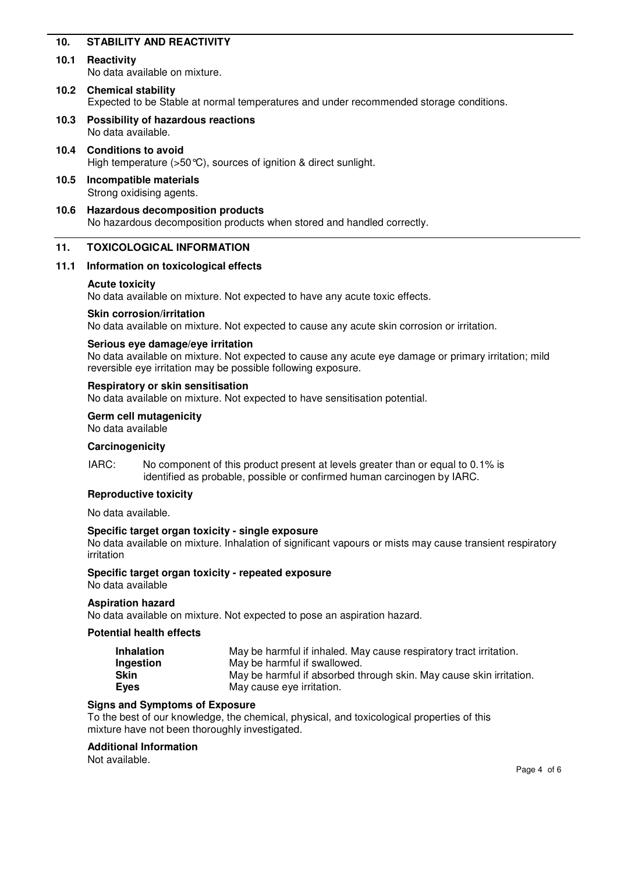## **10. STABILITY AND REACTIVITY**

## **10.1 Reactivity**

No data available on mixture.

## **10.2 Chemical stability** Expected to be Stable at normal temperatures and under recommended storage conditions.

**10.3 Possibility of hazardous reactions** No data available.

## **10.4 Conditions to avoid**

High temperature (>50 °C), sources of ignition & direct sunlight.

- **10.5 Incompatible materials** Strong oxidising agents.
- **10.6 Hazardous decomposition products** No hazardous decomposition products when stored and handled correctly.

## **11. TOXICOLOGICAL INFORMATION**

## **11.1 Information on toxicological effects**

#### **Acute toxicity**

No data available on mixture. Not expected to have any acute toxic effects.

#### **Skin corrosion/irritation**

No data available on mixture. Not expected to cause any acute skin corrosion or irritation.

#### **Serious eye damage/eye irritation**

No data available on mixture. Not expected to cause any acute eye damage or primary irritation; mild reversible eye irritation may be possible following exposure.

#### **Respiratory or skin sensitisation**

No data available on mixture. Not expected to have sensitisation potential.

**Germ cell mutagenicity**

No data available

#### **Carcinogenicity**

IARC: No component of this product present at levels greater than or equal to 0.1% is identified as probable, possible or confirmed human carcinogen by IARC.

## **Reproductive toxicity**

No data available.

## **Specific target organ toxicity - single exposure**

No data available on mixture. Inhalation of significant vapours or mists may cause transient respiratory irritation

#### **Specific target organ toxicity - repeated exposure** No data available

## **Aspiration hazard**

No data available on mixture. Not expected to pose an aspiration hazard.

#### **Potential health effects**

| <b>Inhalation</b> | May be harmful if inhaled. May cause respiratory tract irritation.  |
|-------------------|---------------------------------------------------------------------|
| Ingestion         | May be harmful if swallowed.                                        |
| <b>Skin</b>       | May be harmful if absorbed through skin. May cause skin irritation. |
| <b>Eyes</b>       | May cause eye irritation.                                           |

#### **Signs and Symptoms of Exposure**

To the best of our knowledge, the chemical, physical, and toxicological properties of this mixture have not been thoroughly investigated.

## **Additional Information**

Not available.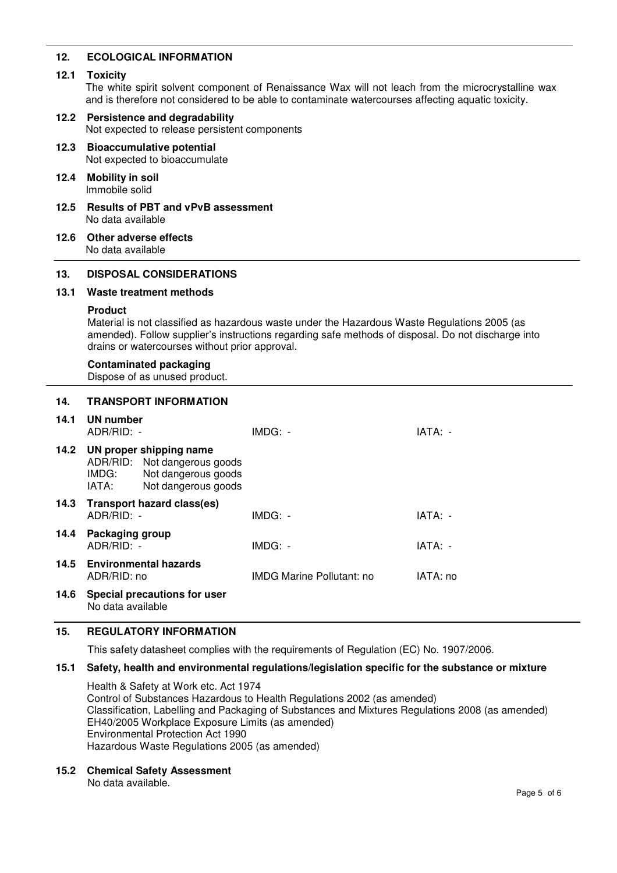## **12. ECOLOGICAL INFORMATION**

## **12.1 Toxicity**

The white spirit solvent component of Renaissance Wax will not leach from the microcrystalline wax and is therefore not considered to be able to contaminate watercourses affecting aquatic toxicity.

## **12.2 Persistence and degradability** Not expected to release persistent components

- **12.3 Bioaccumulative potential** Not expected to bioaccumulate
- **12.4 Mobility in soil** Immobile solid
- **12.5 Results of PBT and vPvB assessment** No data available
- **12.6 Other adverse effects** No data available

## **13. DISPOSAL CONSIDERATIONS**

## **13.1 Waste treatment methods**

## **Product**

Material is not classified as hazardous waste under the Hazardous Waste Regulations 2005 (as amended). Follow supplier's instructions regarding safe methods of disposal. Do not discharge into drains or watercourses without prior approval.

## **Contaminated packaging**

Dispose of as unused product.

## **14. TRANSPORT INFORMATION**

| 14.1 | UN number<br>$ADR/RID: -$       |                                                                                                       | $IMDG: -$                        | IATA: -  |
|------|---------------------------------|-------------------------------------------------------------------------------------------------------|----------------------------------|----------|
| 14.2 | IMDG:<br>IATA:                  | UN proper shipping name<br>ADR/RID: Not dangerous goods<br>Not dangerous goods<br>Not dangerous goods |                                  |          |
| 14.3 | $ADR/RID: -$                    | Transport hazard class(es)                                                                            | $IMDG: -$                        | IATA: -  |
| 14.4 | Packaging group<br>$ADR/RID: -$ |                                                                                                       | $IMDG: -$                        | IATA: -  |
|      | ADR/RID: no                     | 14.5 Environmental hazards                                                                            | <b>IMDG Marine Pollutant: no</b> | IATA: no |
| 14.6 | No data available               | Special precautions for user                                                                          |                                  |          |

## **15. REGULATORY INFORMATION**

This safety datasheet complies with the requirements of Regulation (EC) No. 1907/2006.

## **15.1 Safety, health and environmental regulations/legislation specific for the substance or mixture**

Health & Safety at Work etc. Act 1974 Control of Substances Hazardous to Health Regulations 2002 (as amended) Classification, Labelling and Packaging of Substances and Mixtures Regulations 2008 (as amended) EH40/2005 Workplace Exposure Limits (as amended) Environmental Protection Act 1990 Hazardous Waste Regulations 2005 (as amended)

**15.2 Chemical Safety Assessment**

No data available.